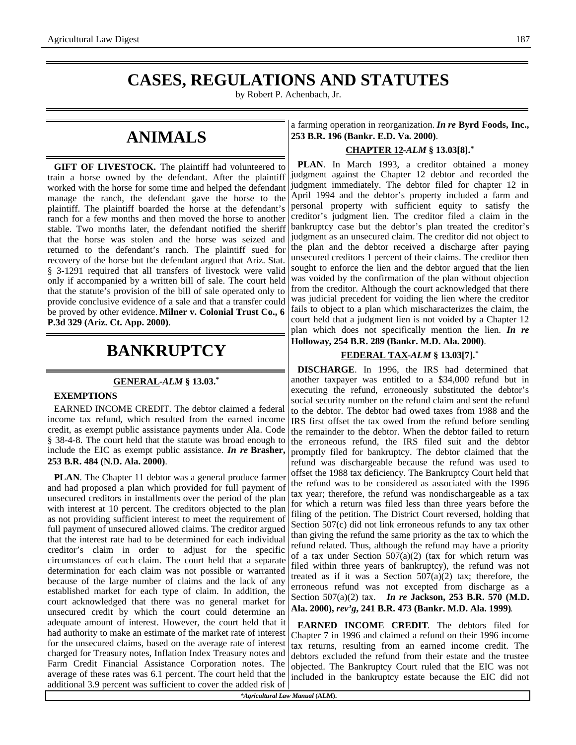## **CASES, REGULATIONS AND STATUTES**

by Robert P. Achenbach, Jr.

## **ANIMALS**

**GIFT OF LIVESTOCK.** The plaintiff had volunteered to train a horse owned by the defendant. After the plaintiff worked with the horse for some time and helped the defendant manage the ranch, the defendant gave the horse to the plaintiff. The plaintiff boarded the horse at the defendant's ranch for a few months and then moved the horse to another stable. Two months later, the defendant notified the sheriff that the horse was stolen and the horse was seized and returned to the defendant's ranch. The plaintiff sued for recovery of the horse but the defendant argued that Ariz. Stat. § 3-1291 required that all transfers of livestock were valid only if accompanied by a written bill of sale. The court held that the statute's provision of the bill of sale operated only to provide conclusive evidence of a sale and that a transfer could be proved by other evidence. **Milner v. Colonial Trust Co., 6 P.3d 329 (Ariz. Ct. App. 2000)**.

## **BANKRUPTCY**

#### **GENERAL -***ALM* **§ 13.03.\***

#### **EXEMPTIONS**

EARNED INCOME CREDIT. The debtor claimed a federal income tax refund, which resulted from the earned income credit, as exempt public assistance payments under Ala. Code § 38-4-8. The court held that the statute was broad enough to include the EIC as exempt public assistance. *In re* **Brasher, 253 B.R. 484 (N.D. Ala. 2000)**.

**PLAN**. The Chapter 11 debtor was a general produce farmer and had proposed a plan which provided for full payment of unsecured creditors in installments over the period of the plan with interest at 10 percent. The creditors objected to the plan as not providing sufficient interest to meet the requirement of full payment of unsecured allowed claims. The creditor argued that the interest rate had to be determined for each individual creditor's claim in order to adjust for the specific circumstances of each claim. The court held that a separate determination for each claim was not possible or warranted because of the large number of claims and the lack of any established market for each type of claim. In addition, the court acknowledged that there was no general market for unsecured credit by which the court could determine an adequate amount of interest. However, the court held that it had authority to make an estimate of the market rate of interest for the unsecured claims, based on the average rate of interest charged for Treasury notes, Inflation Index Treasury notes and Farm Credit Financial Assistance Corporation notes. The average of these rates was 6.1 percent. The court held that the additional 3.9 percent was sufficient to cover the added risk of

a farming operation in reorganization. *In re* **Byrd Foods, Inc., 253 B.R. 196 (Bankr. E.D. Va. 2000)**.

### **CHAPTER 12 -***ALM* **§ 13.03[8].\***

**PLAN**. In March 1993, a creditor obtained a money judgment against the Chapter 12 debtor and recorded the judgment immediately. The debtor filed for chapter 12 in April 1994 and the debtor's property included a farm and personal property with sufficient equity to satisfy the creditor's judgment lien. The creditor filed a claim in the bankruptcy case but the debtor's plan treated the creditor's judgment as an unsecured claim. The creditor did not object to the plan and the debtor received a discharge after paying unsecured creditors 1 percent of their claims. The creditor then sought to enforce the lien and the debtor argued that the lien was voided by the confirmation of the plan without objection from the creditor. Although the court acknowledged that there was judicial precedent for voiding the lien where the creditor fails to object to a plan which mischaracterizes the claim, the court held that a judgment lien is not voided by a Chapter 12 plan which does not specifically mention the lien. *In re* **Holloway, 254 B.R. 289 (Bankr. M.D. Ala. 2000)**.

#### **FEDERAL TAX -***ALM* **§ 13.03[7].\***

**DISCHARGE**. In 1996, the IRS had determined that another taxpayer was entitled to a \$34,000 refund but in executing the refund, erroneously substituted the debtor's social security number on the refund claim and sent the refund to the debtor. The debtor had owed taxes from 1988 and the IRS first offset the tax owed from the refund before sending the remainder to the debtor. When the debtor failed to return the erroneous refund, the IRS filed suit and the debtor promptly filed for bankruptcy. The debtor claimed that the refund was dischargeable because the refund was used to offset the 1988 tax deficiency. The Bankruptcy Court held that the refund was to be considered as associated with the 1996 tax year; therefore, the refund was nondischargeable as a tax for which a return was filed less than three years before the filing of the petition. The District Court reversed, holding that Section 507(c) did not link erroneous refunds to any tax other than giving the refund the same priority as the tax to which the refund related. Thus, although the refund may have a priority of a tax under Section  $507(a)(2)$  (tax for which return was filed within three years of bankruptcy), the refund was not treated as if it was a Section  $507(a)(2)$  tax; therefore, the erroneous refund was not excepted from discharge as a Section 507(a)(2) tax. *In re* **Jackson, 253 B.R. 570 (M.D. Ala. 2000),** *rev'g***, 241 B.R. 473 (Bankr. M.D. Ala. 1999)**.

**EARNED INCOME CREDIT**. The debtors filed for Chapter 7 in 1996 and claimed a refund on their 1996 income tax returns, resulting from an earned income credit. The debtors excluded the refund from their estate and the trustee objected. The Bankruptcy Court ruled that the EIC was not included in the bankruptcy estate because the EIC did not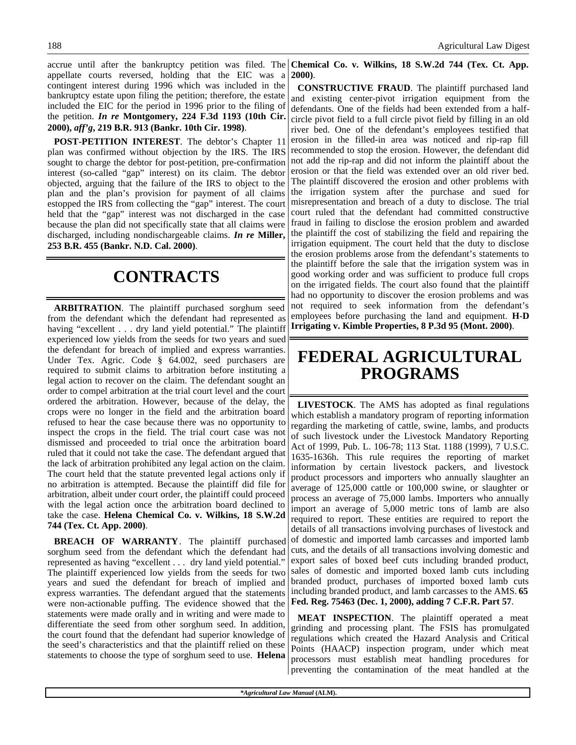accrue until after the bankruptcy petition was filed. The **Chemical Co. v. Wilkins, 18 S.W.2d 744 (Tex. Ct. App.** appellate courts reversed, holding that the EIC was a contingent interest during 1996 which was included in the bankruptcy estate upon filing the petition; therefore, the estate included the EIC for the period in 1996 prior to the filing of the petition. *In re* **Montgomery, 224 F.3d 1193 (10th Cir. 2000),** *aff'g***, 219 B.R. 913 (Bankr. 10th Cir. 1998)**.

**POST-PETITION INTEREST**. The debtor's Chapter 11 plan was confirmed without objection by the IRS. The IRS sought to charge the debtor for post-petition, pre-confirmation interest (so-called "gap" interest) on its claim. The debtor objected, arguing that the failure of the IRS to object to the plan and the plan's provision for payment of all claims estopped the IRS from collecting the "gap" interest. The court held that the "gap" interest was not discharged in the case because the plan did not specifically state that all claims were discharged, including nondischargeable claims. *In re* **Miller, 253 B.R. 455 (Bankr. N.D. Cal. 2000)**.

# **CONTRACTS**

**ARBITRATION**. The plaintiff purchased sorghum seed from the defendant which the defendant had represented as having "excellent . . . dry land yield potential." The plaintiff experienced low yields from the seeds for two years and sued the defendant for breach of implied and express warranties. Under Tex. Agric. Code § 64.002, seed purchasers are required to submit claims to arbitration before instituting a legal action to recover on the claim. The defendant sought an order to compel arbitration at the trial court level and the court ordered the arbitration. However, because of the delay, the crops were no longer in the field and the arbitration board refused to hear the case because there was no opportunity to inspect the crops in the field. The trial court case was not dismissed and proceeded to trial once the arbitration board ruled that it could not take the case. The defendant argued that the lack of arbitration prohibited any legal action on the claim. The court held that the statute prevented legal actions only if no arbitration is attempted. Because the plaintiff did file for arbitration, albeit under court order, the plaintiff could proceed with the legal action once the arbitration board declined to take the case. **Helena Chemical Co. v. Wilkins, 18 S.W.2d 744 (Tex. Ct. App. 2000)**.

**BREACH OF WARRANTY**. The plaintiff purchased sorghum seed from the defendant which the defendant had represented as having "excellent . . . dry land yield potential." The plaintiff experienced low yields from the seeds for two years and sued the defendant for breach of implied and express warranties. The defendant argued that the statements were non-actionable puffing. The evidence showed that the statements were made orally and in writing and were made to differentiate the seed from other sorghum seed. In addition, the court found that the defendant had superior knowledge of the seed's characteristics and that the plaintiff relied on these statements to choose the type of sorghum seed to use. **Helena**

**2000)**.

**CONSTRUCTIVE FRAUD**. The plaintiff purchased land and existing center-pivot irrigation equipment from the defendants. One of the fields had been extended from a halfcircle pivot field to a full circle pivot field by filling in an old river bed. One of the defendant's employees testified that erosion in the filled-in area was noticed and rip-rap fill recommended to stop the erosion. However, the defendant did not add the rip-rap and did not inform the plaintiff about the erosion or that the field was extended over an old river bed. The plaintiff discovered the erosion and other problems with the irrigation system after the purchase and sued for misrepresentation and breach of a duty to disclose. The trial court ruled that the defendant had committed constructive fraud in failing to disclose the erosion problem and awarded the plaintiff the cost of stabilizing the field and repairing the irrigation equipment. The court held that the duty to disclose the erosion problems arose from the defendant's statements to the plaintiff before the sale that the irrigation system was in good working order and was sufficient to produce full crops on the irrigated fields. The court also found that the plaintiff had no opportunity to discover the erosion problems and was not required to seek information from the defendant's employees before purchasing the land and equipment. **H-D Irrigating v. Kimble Properties, 8 P.3d 95 (Mont. 2000)**.

## **FEDERAL AGRICULTURAL PROGRAMS**

**LIVESTOCK**. The AMS has adopted as final regulations which establish a mandatory program of reporting information regarding the marketing of cattle, swine, lambs, and products of such livestock under the Livestock Mandatory Reporting Act of 1999, Pub. L. 106-78; 113 Stat. 1188 (1999), 7 U.S.C. 1635-1636h. This rule requires the reporting of market information by certain livestock packers, and livestock product processors and importers who annually slaughter an average of 125,000 cattle or 100,000 swine, or slaughter or process an average of 75,000 lambs. Importers who annually import an average of 5,000 metric tons of lamb are also required to report. These entities are required to report the details of all transactions involving purchases of livestock and of domestic and imported lamb carcasses and imported lamb cuts, and the details of all transactions involving domestic and export sales of boxed beef cuts including branded product, sales of domestic and imported boxed lamb cuts including branded product, purchases of imported boxed lamb cuts including branded product, and lamb carcasses to the AMS. **65 Fed. Reg. 75463 (Dec. 1, 2000), adding 7 C.F.R. Part 57**.

**MEAT INSPECTION**. The plaintiff operated a meat grinding and processing plant. The FSIS has promulgated regulations which created the Hazard Analysis and Critical Points (HAACP) inspection program, under which meat processors must establish meat handling procedures for preventing the contamination of the meat handled at the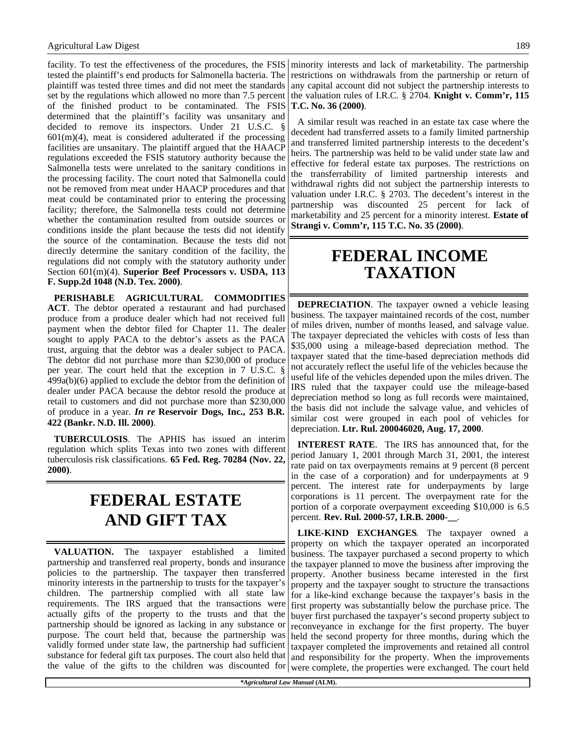facility. To test the effectiveness of the procedures, the FSIS tested the plaintiff's end products for Salmonella bacteria. The plaintiff was tested three times and did not meet the standards set by the regulations which allowed no more than 7.5 percent of the finished product to be contaminated. The FSIS determined that the plaintiff's facility was unsanitary and decided to remove its inspectors. Under 21 U.S.C. §  $601(m)(4)$ , meat is considered adulterated if the processing facilities are unsanitary. The plaintiff argued that the HAACP regulations exceeded the FSIS statutory authority because the Salmonella tests were unrelated to the sanitary conditions in the processing facility. The court noted that Salmonella could not be removed from meat under HAACP procedures and that meat could be contaminated prior to entering the processing facility; therefore, the Salmonella tests could not determine whether the contamination resulted from outside sources or conditions inside the plant because the tests did not identify the source of the contamination. Because the tests did not directly determine the sanitary condition of the facility, the regulations did not comply with the statutory authority under Section 601(m)(4). **Superior Beef Processors v. USDA, 113 F. Supp.2d 1048 (N.D. Tex. 2000)**.

**PERISHABLE AGRICULTURAL COMMODITIES ACT**. The debtor operated a restaurant and had purchased produce from a produce dealer which had not received full payment when the debtor filed for Chapter 11. The dealer sought to apply PACA to the debtor's assets as the PACA trust, arguing that the debtor was a dealer subject to PACA. The debtor did not purchase more than \$230,000 of produce per year. The court held that the exception in 7 U.S.C. § 499a(b)(6) applied to exclude the debtor from the definition of dealer under PACA because the debtor resold the produce at retail to customers and did not purchase more than \$230,000 of produce in a year. *In re* **Reservoir Dogs, Inc., 253 B.R. 422 (Bankr. N.D. Ill. 2000)**.

**TUBERCULOSIS**. The APHIS has issued an interim regulation which splits Texas into two zones with different tuberculosis risk classifications. **65 Fed. Reg. 70284 (Nov. 22, 2000)**.

## **FEDERAL ESTATE AND GIFT TAX**

**VALUATION.** The taxpayer established a limited partnership and transferred real property, bonds and insurance policies to the partnership. The taxpayer then transferred minority interests in the partnership to trusts for the taxpayer's children. The partnership complied with all state law requirements. The IRS argued that the transactions were actually gifts of the property to the trusts and that the partnership should be ignored as lacking in any substance or purpose. The court held that, because the partnership was validly formed under state law, the partnership had sufficient substance for federal gift tax purposes. The court also held that

minority interests and lack of marketability. The partnership restrictions on withdrawals from the partnership or return of any capital account did not subject the partnership interests to the valuation rules of I.R.C. § 2704. **Knight v. Comm'r, 115 T.C. No. 36 (2000)**.

A similar result was reached in an estate tax case where the decedent had transferred assets to a family limited partnership and transferred limited partnership interests to the decedent's heirs. The partnership was held to be valid under state law and effective for federal estate tax purposes. The restrictions on the transferrability of limited partnership interests and withdrawal rights did not subject the partnership interests to valuation under I.R.C. § 2703. The decedent's interest in the partnership was discounted 25 percent for lack of marketability and 25 percent for a minority interest. **Estate of Strangi v. Comm'r, 115 T.C. No. 35 (2000)**.

### **FEDERAL INCOME TAXATION**

**DEPRECIATION**. The taxpayer owned a vehicle leasing business. The taxpayer maintained records of the cost, number of miles driven, number of months leased, and salvage value. The taxpayer depreciated the vehicles with costs of less than \$35,000 using a mileage-based depreciation method. The taxpayer stated that the time-based depreciation methods did not accurately reflect the useful life of the vehicles because the useful life of the vehicles depended upon the miles driven. The IRS ruled that the taxpayer could use the mileage-based depreciation method so long as full records were maintained, the basis did not include the salvage value, and vehicles of similar cost were grouped in each pool of vehicles for depreciation. **Ltr. Rul. 200046020, Aug. 17, 2000**.

**INTEREST RATE**. The IRS has announced that, for the period January 1, 2001 through March 31, 2001, the interest rate paid on tax overpayments remains at 9 percent (8 percent in the case of a corporation) and for underpayments at 9 percent. The interest rate for underpayments by large corporations is 11 percent. The overpayment rate for the portion of a corporate overpayment exceeding \$10,000 is 6.5 percent. **Rev. Rul. 2000-57, I.R.B. 2000-\_\_**.

the value of the gifts to the children was discounted for were complete, the properties were exchanged. The court held **LIKE-KIND EXCHANGES**. The taxpayer owned a property on which the taxpayer operated an incorporated business. The taxpayer purchased a second property to which the taxpayer planned to move the business after improving the property. Another business became interested in the first property and the taxpayer sought to structure the transactions for a like-kind exchange because the taxpayer's basis in the first property was substantially below the purchase price. The buyer first purchased the taxpayer's second property subject to reconveyance in exchange for the first property. The buyer held the second property for three months, during which the taxpayer completed the improvements and retained all control and responsibility for the property. When the improvements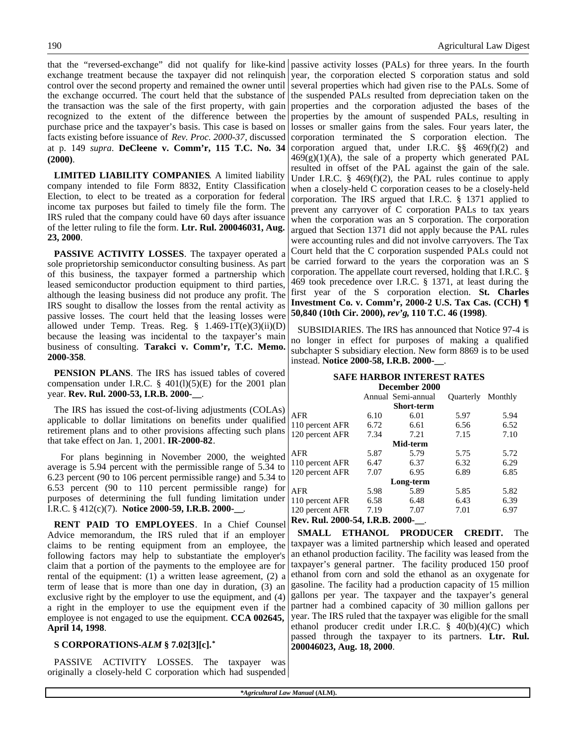that the "reversed-exchange" did not qualify for like-kind exchange treatment because the taxpayer did not relinquish control over the second property and remained the owner until the exchange occurred. The court held that the substance of the transaction was the sale of the first property, with gain recognized to the extent of the difference between the purchase price and the taxpayer's basis. This case is based on facts existing before issuance of *Rev. Proc. 2000-37*, discussed at p. 149 *supra*. **DeCleene v. Comm'r, 115 T.C. No. 34 (2000)**.

**LIMITED LIABILITY COMPANIES**. A limited liability company intended to file Form 8832, Entity Classification Election, to elect to be treated as a corporation for federal income tax purposes but failed to timely file the form. The IRS ruled that the company could have 60 days after issuance of the letter ruling to file the form. **Ltr. Rul. 200046031, Aug. 23, 2000**.

**PASSIVE ACTIVITY LOSSES**. The taxpayer operated a sole proprietorship semiconductor consulting business. As part of this business, the taxpayer formed a partnership which leased semiconductor production equipment to third parties, although the leasing business did not produce any profit. The IRS sought to disallow the losses from the rental activity as passive losses. The court held that the leasing losses were allowed under Temp. Treas. Reg. § 1.469-1T(e)(3)(ii)(D) because the leasing was incidental to the taxpayer's main business of consulting. **Tarakci v. Comm'r, T.C. Memo. 2000-358**.

**PENSION PLANS**. The IRS has issued tables of covered compensation under I.R.C.  $\S$  401(l)(5)(E) for the 2001 plan year. **Rev. Rul. 2000-53, I.R.B. 2000-\_\_**.

The IRS has issued the cost-of-living adjustments (COLAs) applicable to dollar limitations on benefits under qualified retirement plans and to other provisions affecting such plans that take effect on Jan. 1, 2001. **IR-2000-82**.

For plans beginning in November 2000, the weighted average is 5.94 percent with the permissible range of 5.34 to 6.23 percent (90 to 106 percent permissible range) and 5.34 to 6.53 percent (90 to 110 percent permissible range) for purposes of determining the full funding limitation under I.R.C. § 412(c)(7). **Notice 2000-59, I.R.B. 2000-\_\_**.

**RENT PAID TO EMPLOYEES**. In a Chief Counsel Advice memorandum, the IRS ruled that if an employer claims to be renting equipment from an employee, the following factors may help to substantiate the employer's claim that a portion of the payments to the employee are for rental of the equipment: (1) a written lease agreement, (2)  $\epsilon$ term of lease that is more than one day in duration, (3) an exclusive right by the employer to use the equipment, and (4) a right in the employer to use the equipment even if the employee is not engaged to use the equipment. **CCA 002645, April 14, 1998**.

#### **S CORPORATIONS-***ALM* **§ 7.02[3][c].\***

PASSIVE ACTIVITY LOSSES. The taxpayer was originally a closely-held C corporation which had suspended

passive activity losses (PALs) for three years. In the fourth year, the corporation elected S corporation status and sold several properties which had given rise to the PALs. Some of the suspended PALs resulted from depreciation taken on the properties and the corporation adjusted the bases of the properties by the amount of suspended PALs, resulting in losses or smaller gains from the sales. Four years later, the corporation terminated the S corporation election. The corporation argued that, under I.R.C. §§ 469(f)(2) and  $469(g)(1)(A)$ , the sale of a property which generated PAL resulted in offset of the PAL against the gain of the sale. Under I.R.C. § 469(f)(2), the PAL rules continue to apply when a closely-held C corporation ceases to be a closely-held corporation. The IRS argued that I.R.C. § 1371 applied to prevent any carryover of C corporation PALs to tax years when the corporation was an S corporation. The corporation argued that Section 1371 did not apply because the PAL rules were accounting rules and did not involve carryovers. The Tax Court held that the C corporation suspended PALs could not be carried forward to the years the corporation was an S corporation. The appellate court reversed, holding that I.R.C. § 469 took precedence over I.R.C. § 1371, at least during the first year of the S corporation election. **St. Charles Investment Co. v. Comm'r, 2000-2 U.S. Tax Cas. (CCH) ¶ 50,840 (10th Cir. 2000),** *rev'g***, 110 T.C. 46 (1998)**.

SUBSIDIARIES. The IRS has announced that Notice 97-4 is no longer in effect for purposes of making a qualified subchapter S subsidiary election. New form 8869 is to be used instead. **Notice 2000-58, I.R.B. 2000-\_\_**.

#### **SAFE HARBOR INTEREST RATES December 2000**

|                                 |      | рсссиност дооо     |                          |      |
|---------------------------------|------|--------------------|--------------------------|------|
|                                 |      | Annual Semi-annual | <b>Ouarterly</b> Monthly |      |
|                                 |      | <b>Short-term</b>  |                          |      |
| AFR                             | 6.10 | 6.01               | 5.97                     | 5.94 |
| 110 percent AFR                 | 6.72 | 6.61               | 6.56                     | 6.52 |
| 120 percent AFR                 | 7.34 | 7.21               | 7.15                     | 7.10 |
|                                 |      | Mid-term           |                          |      |
| AFR                             | 5.87 | 5.79               | 5.75                     | 5.72 |
| 110 percent AFR                 | 6.47 | 6.37               | 6.32                     | 6.29 |
| 120 percent AFR                 | 7.07 | 6.95               | 6.89                     | 6.85 |
|                                 |      | Long-term          |                          |      |
| AFR                             | 5.98 | 5.89               | 5.85                     | 5.82 |
| 110 percent AFR                 | 6.58 | 6.48               | 6.43                     | 6.39 |
| 120 percent AFR                 | 7.19 | 7.07               | 7.01                     | 6.97 |
| Rev. Rul. 2000-54, I.R.B. 2000- |      |                    |                          |      |

**SMALL ETHANOL PRODUCER CREDIT.** The taxpayer was a limited partnership which leased and operated an ethanol production facility. The facility was leased from the taxpayer's general partner. The facility produced 150 proof ethanol from corn and sold the ethanol as an oxygenate for gasoline. The facility had a production capacity of 15 million gallons per year. The taxpayer and the taxpayer's general partner had a combined capacity of 30 million gallons per year. The IRS ruled that the taxpayer was eligible for the small ethanol producer credit under I.R.C. § 40(b)(4)(C) which passed through the taxpayer to its partners. **Ltr. Rul. 200046023, Aug. 18, 2000**.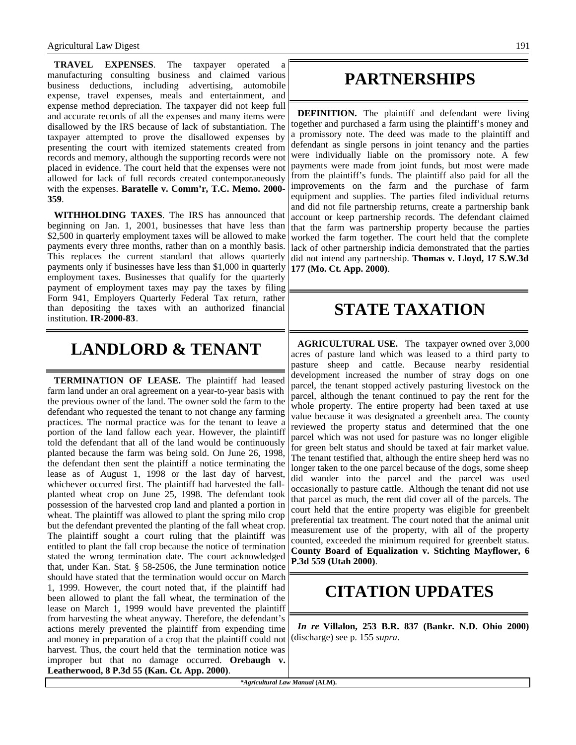**TRAVEL EXPENSES**. The taxpayer operated a manufacturing consulting business and claimed various business deductions, including advertising, automobile expense, travel expenses, meals and entertainment, and expense method depreciation. The taxpayer did not keep full and accurate records of all the expenses and many items were disallowed by the IRS because of lack of substantiation. The taxpayer attempted to prove the disallowed expenses by presenting the court with itemized statements created from records and memory, although the supporting records were not placed in evidence. The court held that the expenses were not allowed for lack of full records created contemporaneously with the expenses. **Baratelle v. Comm'r, T.C. Memo. 2000- 359**.

**WITHHOLDING TAXES**. The IRS has announced that beginning on Jan. 1, 2001, businesses that have less than \$2,500 in quarterly employment taxes will be allowed to make payments every three months, rather than on a monthly basis. This replaces the current standard that allows quarterly payments only if businesses have less than \$1,000 in quarterly employment taxes. Businesses that qualify for the quarterly payment of employment taxes may pay the taxes by filing Form 941, Employers Quarterly Federal Tax return, rather than depositing the taxes with an authorized financial institution. **IR-2000-83**.

### **LANDLORD & TENANT**

**TERMINATION OF LEASE.** The plaintiff had leased farm land under an oral agreement on a year-to-year basis with the previous owner of the land. The owner sold the farm to the defendant who requested the tenant to not change any farming practices. The normal practice was for the tenant to leave a portion of the land fallow each year. However, the plaintiff told the defendant that all of the land would be continuously planted because the farm was being sold. On June 26, 1998, the defendant then sent the plaintiff a notice terminating the lease as of August 1, 1998 or the last day of harvest, whichever occurred first. The plaintiff had harvested the fallplanted wheat crop on June 25, 1998. The defendant took possession of the harvested crop land and planted a portion in wheat. The plaintiff was allowed to plant the spring milo crop but the defendant prevented the planting of the fall wheat crop. The plaintiff sought a court ruling that the plaintiff was entitled to plant the fall crop because the notice of termination stated the wrong termination date. The court acknowledged that, under Kan. Stat. § 58-2506, the June termination notice should have stated that the termination would occur on March 1, 1999. However, the court noted that, if the plaintiff had been allowed to plant the fall wheat, the termination of the lease on March 1, 1999 would have prevented the plaintiff from harvesting the wheat anyway. Therefore, the defendant's actions merely prevented the plaintiff from expending time and money in preparation of a crop that the plaintiff could not harvest. Thus, the court held that the termination notice was improper but that no damage occurred. **Orebaugh v. Leatherwood, 8 P.3d 55 (Kan. Ct. App. 2000)**.

### **PARTNERSHIPS**

**DEFINITION.** The plaintiff and defendant were living together and purchased a farm using the plaintiff's money and a promissory note. The deed was made to the plaintiff and defendant as single persons in joint tenancy and the parties were individually liable on the promissory note. A few payments were made from joint funds, but most were made from the plaintiff's funds. The plaintiff also paid for all the improvements on the farm and the purchase of farm equipment and supplies. The parties filed individual returns and did not file partnership returns, create a partnership bank account or keep partnership records. The defendant claimed that the farm was partnership property because the parties worked the farm together. The court held that the complete lack of other partnership indicia demonstrated that the parties did not intend any partnership. **Thomas v. Lloyd, 17 S.W.3d 177 (Mo. Ct. App. 2000)**.

### **STATE TAXATION**

**AGRICULTURAL USE.** The taxpayer owned over 3,000 acres of pasture land which was leased to a third party to pasture sheep and cattle. Because nearby residential development increased the number of stray dogs on one parcel, the tenant stopped actively pasturing livestock on the parcel, although the tenant continued to pay the rent for the whole property. The entire property had been taxed at use value because it was designated a greenbelt area. The county reviewed the property status and determined that the one parcel which was not used for pasture was no longer eligible for green belt status and should be taxed at fair market value. The tenant testified that, although the entire sheep herd was no longer taken to the one parcel because of the dogs, some sheep did wander into the parcel and the parcel was used occasionally to pasture cattle. Although the tenant did not use that parcel as much, the rent did cover all of the parcels. The court held that the entire property was eligible for greenbelt preferential tax treatment. The court noted that the animal unit measurement use of the property, with all of the property counted, exceeded the minimum required for greenbelt status. **County Board of Equalization v. Stichting Mayflower, 6 P.3d 559 (Utah 2000)**.

### **CITATION UPDATES**

*In re* **Villalon, 253 B.R. 837 (Bankr. N.D. Ohio 2000)** (discharge) see p. 155 *supra*.

*\*Agricultural Law Manual* **(ALM).**